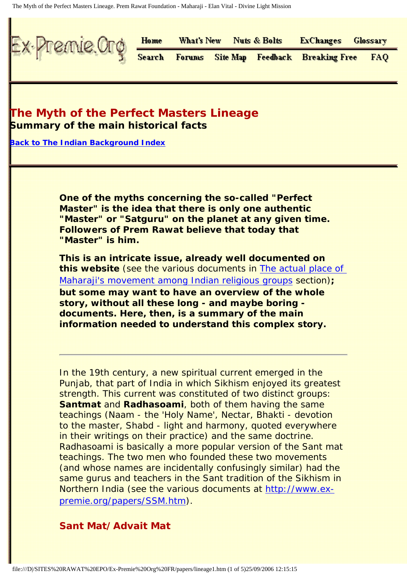The Myth of the Perfect Masters Lineage. Prem Rawat Foundation - Maharaji - Elan Vital - Divine Light Mission

<span id="page-0-0"></span>

# **The Myth of the Perfect Masters Lineage Summary of the main historical facts**

**[Back to The Indian Background Index](file:///D|/SITES%20RAWAT%20EPO/Ex-Premie%20Org%20FR/papers/indian.htm)**

**One of the myths concerning the so-called "Perfect Master" is the idea that there is only one authentic "Master" or "Satguru" on the planet at any given time. Followers of Prem Rawat believe that today that "Master" is him.**

**This is an intricate issue, already well documented on this website** (see the various documents in [The actual place of](file:///D|/SITES%20RAWAT%20EPO/Ex-Premie%20Org%20FR/papers/indian.htm#ORIGINS) [Maharaji's movement among Indian religious groups](file:///D|/SITES%20RAWAT%20EPO/Ex-Premie%20Org%20FR/papers/indian.htm#ORIGINS) section)**; but some may want to have an overview of the whole story, without all these long - and maybe boring documents. Here, then, is a summary of the main information needed to understand this complex story.**

In the 19th century, a new spiritual current emerged in the Punjab, that part of India in which Sikhism enjoyed its greatest strength. This current was constituted of two distinct groups: **Santmat** and **Radhasoami**, both of them having the same teachings (Naam - the 'Holy Name', Nectar, Bhakti - devotion to the master, Shabd - light and harmony, quoted everywhere in their writings on their practice) and the same doctrine. Radhasoami is basically a more popular version of the Sant mat teachings. The two men who founded these two movements (and whose names are incidentally confusingly similar) had the same gurus and teachers in the Sant tradition of the Sikhism in Northern India (see the various documents at [http://www.ex](file:///D|/SITES%20RAWAT%20EPO/Ex-Premie%20Org%20FR/papers/SSM.htm)[premie.org/papers/SSM.htm\)](file:///D|/SITES%20RAWAT%20EPO/Ex-Premie%20Org%20FR/papers/SSM.htm).

#### **Sant Mat/Advait Mat**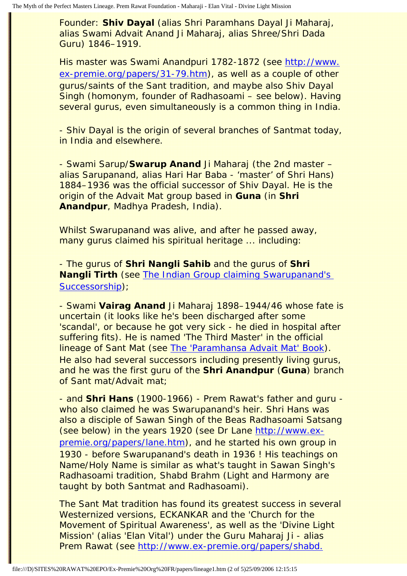Founder: **Shiv Dayal** (alias Shri Paramhans Dayal Ji Maharaj, alias Swami Advait Anand Ji Maharaj, alias Shree/Shri Dada Guru) 1846–1919.

His master was Swami Anandpuri 1782-1872 (see [http://www.](file:///D|/SITES%20RAWAT%20EPO/Ex-Premie%20Org%20FR/papers/31-79.htm) [ex-premie.org/papers/31-79.htm\)](file:///D|/SITES%20RAWAT%20EPO/Ex-Premie%20Org%20FR/papers/31-79.htm), as well as a couple of other gurus/saints of the Sant tradition, and maybe also Shiv Dayal Singh (homonym, founder of Radhasoami – see below). Having several gurus, even simultaneously is a common thing in India.

- Shiv Dayal is the origin of several branches of Santmat today, in India and elsewhere.

- Swami Sarup/**Swarup Anand** Ji Maharaj (the 2nd master – alias Sarupanand, alias Hari Har Baba - 'master' of Shri Hans) 1884–1936 was the official successor of Shiv Dayal. He is the origin of the Advait Mat group based in **Guna** (in **Shri Anandpur**, Madhya Pradesh, India).

Whilst Swarupanand was alive, and after he passed away, many gurus claimed his spiritual heritage ... including:

- The gurus of **Shri Nangli Sahib** and the gurus of **Shri Nangli Tirth** (see [The Indian Group claiming Swarupanand's](file:///D|/SITES%20RAWAT%20EPO/Ex-Premie%20Org%20FR/papers/cousins.htm) [Successorship\)](file:///D|/SITES%20RAWAT%20EPO/Ex-Premie%20Org%20FR/papers/cousins.htm);

- Swami **Vairag Anand** Ji Maharaj 1898–1944/46 whose fate is uncertain (it looks like he's been discharged after some 'scandal', or because he got very sick - he died in hospital after suffering fits). He is named 'The Third Master' in the official lineage of Sant Mat (see [The 'Paramhansa Advait Mat' Book](file:///D|/SITES%20RAWAT%20EPO/Ex-Premie%20Org%20FR/papers/ad.htm)). He also had several successors including presently living gurus, and he was the first guru of the **Shri Anandpur** (**Guna**) branch of Sant mat/Advait mat;

- and **Shri Hans** (1900-1966) - Prem Rawat's father and guru who also claimed he was Swarupanand's heir. Shri Hans was also a disciple of Sawan Singh of the Beas Radhasoami Satsang (see below) in the years 1920 (see Dr Lane [http://www.ex](file:///D|/SITES%20RAWAT%20EPO/Ex-Premie%20Org%20FR/papers/lane.htm)[premie.org/papers/lane.htm](file:///D|/SITES%20RAWAT%20EPO/Ex-Premie%20Org%20FR/papers/lane.htm)), and he started his own group in 1930 - before Swarupanand's death in 1936 ! His teachings on Name/Holy Name is similar as what's taught in Sawan Singh's Radhasoami tradition, Shabd Brahm (Light and Harmony are taught by both Santmat and Radhasoami).

The Sant Mat tradition has found its greatest success in several Westernized versions, ECKANKAR and the 'Church for the Movement of Spiritual Awareness', as well as the 'Divine Light Mission' (alias 'Elan Vital') under the Guru Maharaj Ji - alias Prem Rawat (see [http://www.ex-premie.org/papers/shabd.](file:///D|/SITES%20RAWAT%20EPO/Ex-Premie%20Org%20FR/papers/shabd.htm)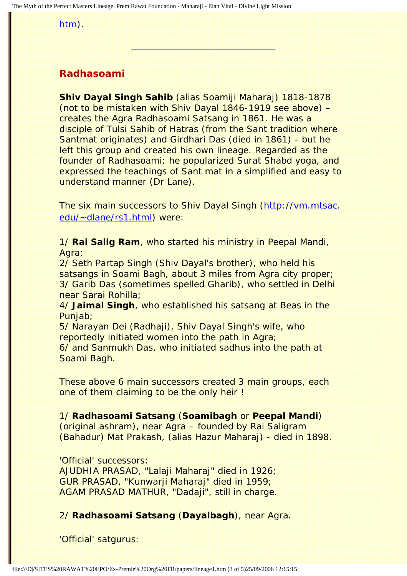[htm\)](file:///D|/SITES%20RAWAT%20EPO/Ex-Premie%20Org%20FR/papers/shabd.htm).

## **Radhasoami**

**Shiv Dayal Singh Sahib** (alias Soamiji Maharaj) 1818-1878 (not to be mistaken with Shiv Dayal 1846-1919 see above) – creates the Agra Radhasoami Satsang in 1861. He was a disciple of Tulsi Sahib of Hatras (from the Sant tradition where Santmat originates) and Girdhari Das (died in 1861) - but he left this group and created his own lineage. Regarded as the founder of Radhasoami; he popularized Surat Shabd yoga, and expressed the teachings of Sant mat in a simplified and easy to understand manner (Dr Lane).

The six main successors to Shiv Dayal Singh ([http://vm.mtsac.](http://vm.mtsac.edu/~dlane/rs1.html) [edu/~dlane/rs1.html](http://vm.mtsac.edu/~dlane/rs1.html)) were:

1/ **Rai Salig Ram**, who started his ministry in Peepal Mandi, Agra;

2/ Seth Partap Singh (Shiv Dayal's brother), who held his satsangs in Soami Bagh, about 3 miles from Agra city proper; 3/ Garib Das (sometimes spelled Gharib), who settled in Delhi near Sarai Rohilla;

4/ **Jaimal Singh**, who established his satsang at Beas in the Punjab;

5/ Narayan Dei (Radhaji), Shiv Dayal Singh's wife, who reportedly initiated women into the path in Agra; 6/ and Sanmukh Das, who initiated sadhus into the path at Soami Bagh.

These above 6 main successors created 3 main groups, each one of them claiming to be the only heir !

1/ **Radhasoami Satsang** (**Soamibagh** or **Peepal Mandi**)

(original ashram), near Agra – founded by Rai Saligram (Bahadur) Mat Prakash, (alias Hazur Maharaj) - died in 1898.

'Official' successors:

AJUDHIA PRASAD, "Lalaji Maharaj" died in 1926; GUR PRASAD, "Kunwarji Maharaj" died in 1959; AGAM PRASAD MATHUR, "Dadaji", still in charge.

### 2/ **Radhasoami Satsang** (**Dayalbagh**), near Agra.

'Official' satgurus: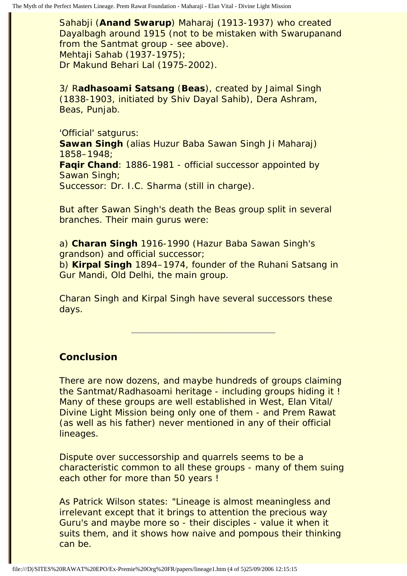Sahabji (**Anand Swarup**) Maharaj (1913-1937) who created Dayalbagh around 1915 (not to be mistaken with Swarupanand from the Santmat group - see above). Mehtaji Sahab (1937-1975); Dr Makund Behari Lal (1975-2002).

3/ R**adhasoami Satsang** (**Beas**), created by Jaimal Singh (1838-1903, initiated by Shiv Dayal Sahib), Dera Ashram, Beas, Punjab.

'Official' satgurus:

**Sawan Singh** (alias Huzur Baba Sawan Singh Ji Maharaj) 1858–1948; **Faqir Chand**: 1886-1981 - official successor appointed by Sawan Singh; Successor: Dr. I.C. Sharma (still in charge).

But after Sawan Singh's death the Beas group split in several branches. Their main gurus were:

a) **Charan Singh** 1916-1990 (Hazur Baba Sawan Singh's grandson) and official successor;

b) **Kirpal Singh** 1894–1974, founder of the Ruhani Satsang in Gur Mandi, Old Delhi, the main group.

Charan Singh and Kirpal Singh have several successors these days.

## **Conclusion**

There are now dozens, and maybe hundreds of groups claiming the Santmat/Radhasoami heritage - including groups hiding it ! Many of these groups are well established in West, Elan Vital/ Divine Light Mission being only one of them - and Prem Rawat (as well as his father) never mentioned in any of their official lineages.

Dispute over successorship and quarrels seems to be a characteristic common to all these groups - many of them suing each other for more than 50 years !

As Patrick Wilson states: "Lineage is almost meaningless and irrelevant except that it brings to attention the precious way Guru's and maybe more so - their disciples - value it when it suits them, and it shows how naive and pompous their thinking can be.